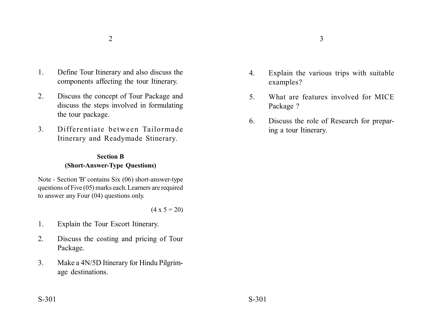- 1. Define Tour Itinerary and also discuss the components affecting the tour Itinerary.
- 2. Discuss the concept of Tour Package and discuss the steps involved in formulating the tour package.
- 3. Differentiate between Tailormade Itinerary and Readymade Stinerary.

## **Section B (Short-Answer-Type Questions)**

Note - Section 'B' contains Six (06) short-answer-type questions of Five (05) marks each. Learners are required to answer any Four (04) questions only.

 $(4 \times 5 = 20)$ 

- 1. Explain the Tour Escort Itinerary.
- 2. Discuss the costing and pricing of Tour Package.
- 3. Make a 4N/5D Itinerary for Hindu Pilgrimage destinations.
- 4. Explain the various trips with suitable examples?
- 5. What are features involved for MICE Package ?
- 6. Discuss the role of Research for preparing a tour Itinerary.